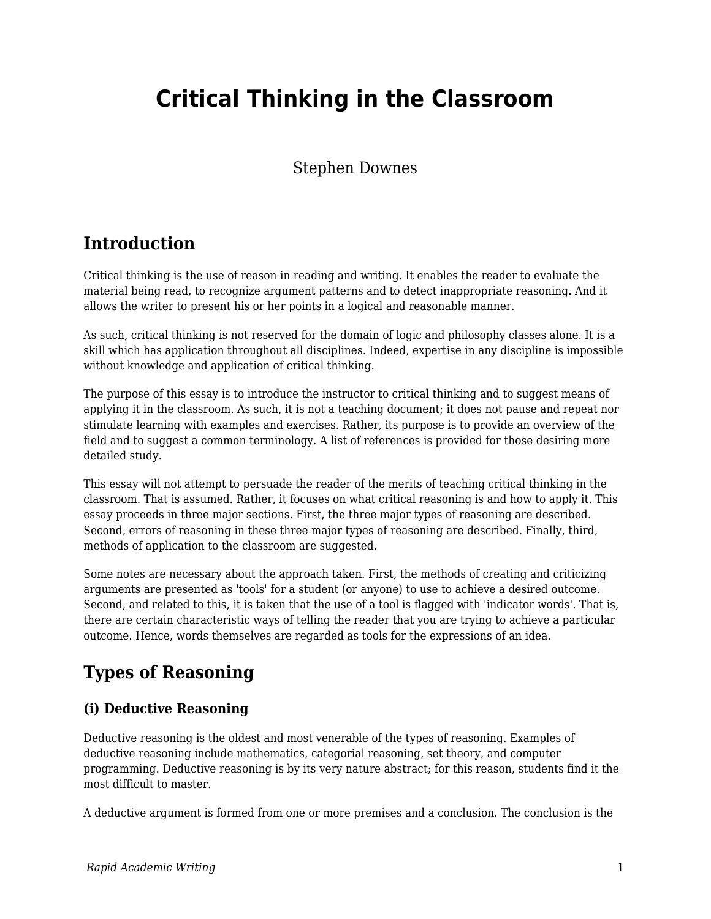# **Critical Thinking in the Classroom**

### Stephen Downes

### **Introduction**

Critical thinking is the use of reason in reading and writing. It enables the reader to evaluate the material being read, to recognize argument patterns and to detect inappropriate reasoning. And it allows the writer to present his or her points in a logical and reasonable manner.

As such, critical thinking is not reserved for the domain of logic and philosophy classes alone. It is a skill which has application throughout all disciplines. Indeed, expertise in any discipline is impossible without knowledge and application of critical thinking.

The purpose of this essay is to introduce the instructor to critical thinking and to suggest means of applying it in the classroom. As such, it is not a teaching document; it does not pause and repeat nor stimulate learning with examples and exercises. Rather, its purpose is to provide an overview of the field and to suggest a common terminology. A list of references is provided for those desiring more detailed study.

This essay will not attempt to persuade the reader of the merits of teaching critical thinking in the classroom. That is assumed. Rather, it focuses on what critical reasoning is and how to apply it. This essay proceeds in three major sections. First, the three major types of reasoning are described. Second, errors of reasoning in these three major types of reasoning are described. Finally, third, methods of application to the classroom are suggested.

Some notes are necessary about the approach taken. First, the methods of creating and criticizing arguments are presented as 'tools' for a student (or anyone) to use to achieve a desired outcome. Second, and related to this, it is taken that the use of a tool is flagged with 'indicator words'. That is, there are certain characteristic ways of telling the reader that you are trying to achieve a particular outcome. Hence, words themselves are regarded as tools for the expressions of an idea.

# **Types of Reasoning**

#### **(i) Deductive Reasoning**

Deductive reasoning is the oldest and most venerable of the types of reasoning. Examples of deductive reasoning include mathematics, categorial reasoning, set theory, and computer programming. Deductive reasoning is by its very nature abstract; for this reason, students find it the most difficult to master.

A deductive argument is formed from one or more premises and a conclusion. The conclusion is the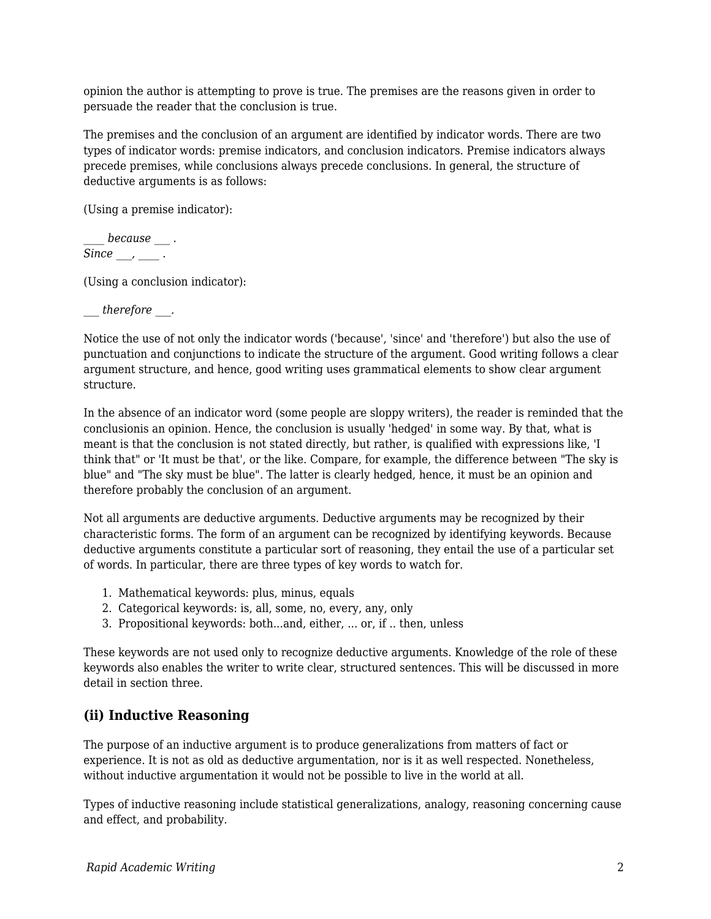opinion the author is attempting to prove is true. The premises are the reasons given in order to persuade the reader that the conclusion is true.

The premises and the conclusion of an argument are identified by indicator words. There are two types of indicator words: premise indicators, and conclusion indicators. Premise indicators always precede premises, while conclusions always precede conclusions. In general, the structure of deductive arguments is as follows:

(Using a premise indicator):

*\_\_\_\_ because \_\_\_ .*  $Since \_\_\_\_\_\_\_\_\$ .

(Using a conclusion indicator):

*\_\_\_ therefore \_\_\_.*

Notice the use of not only the indicator words ('because', 'since' and 'therefore') but also the use of punctuation and conjunctions to indicate the structure of the argument. Good writing follows a clear argument structure, and hence, good writing uses grammatical elements to show clear argument structure.

In the absence of an indicator word (some people are sloppy writers), the reader is reminded that the conclusionis an opinion. Hence, the conclusion is usually 'hedged' in some way. By that, what is meant is that the conclusion is not stated directly, but rather, is qualified with expressions like, 'I think that" or 'It must be that', or the like. Compare, for example, the difference between "The sky is blue" and "The sky must be blue". The latter is clearly hedged, hence, it must be an opinion and therefore probably the conclusion of an argument.

Not all arguments are deductive arguments. Deductive arguments may be recognized by their characteristic forms. The form of an argument can be recognized by identifying keywords. Because deductive arguments constitute a particular sort of reasoning, they entail the use of a particular set of words. In particular, there are three types of key words to watch for.

- 1. Mathematical keywords: plus, minus, equals
- 2. Categorical keywords: is, all, some, no, every, any, only
- 3. Propositional keywords: both...and, either, ... or, if .. then, unless

These keywords are not used only to recognize deductive arguments. Knowledge of the role of these keywords also enables the writer to write clear, structured sentences. This will be discussed in more detail in section three.

#### **(ii) Inductive Reasoning**

The purpose of an inductive argument is to produce generalizations from matters of fact or experience. It is not as old as deductive argumentation, nor is it as well respected. Nonetheless, without inductive argumentation it would not be possible to live in the world at all.

Types of inductive reasoning include statistical generalizations, analogy, reasoning concerning cause and effect, and probability.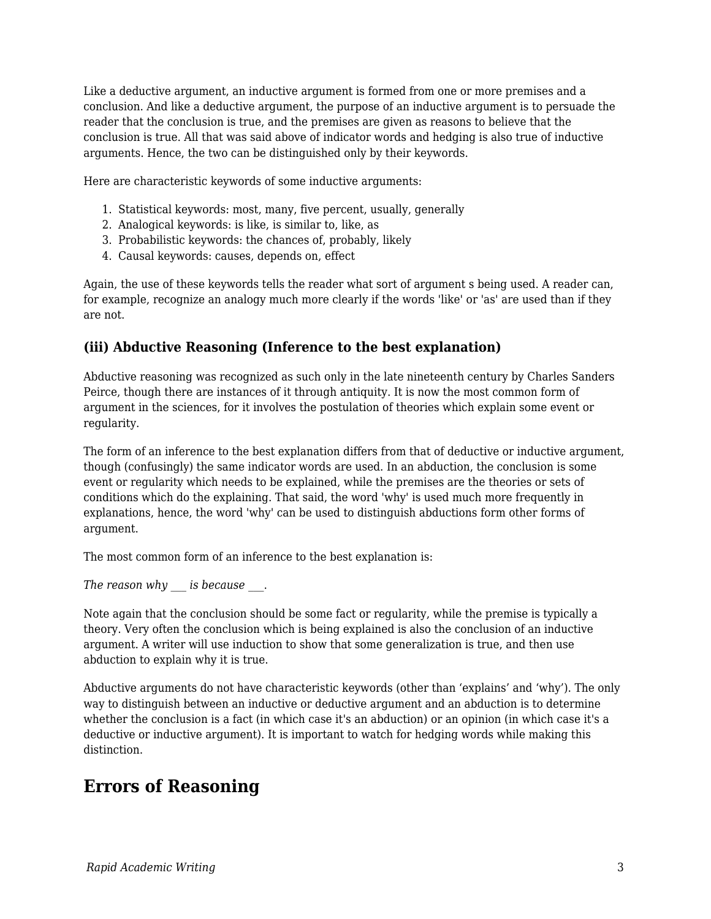Like a deductive argument, an inductive argument is formed from one or more premises and a conclusion. And like a deductive argument, the purpose of an inductive argument is to persuade the reader that the conclusion is true, and the premises are given as reasons to believe that the conclusion is true. All that was said above of indicator words and hedging is also true of inductive arguments. Hence, the two can be distinguished only by their keywords.

Here are characteristic keywords of some inductive arguments:

- 1. Statistical keywords: most, many, five percent, usually, generally
- 2. Analogical keywords: is like, is similar to, like, as
- 3. Probabilistic keywords: the chances of, probably, likely
- 4. Causal keywords: causes, depends on, effect

Again, the use of these keywords tells the reader what sort of argument s being used. A reader can, for example, recognize an analogy much more clearly if the words 'like' or 'as' are used than if they are not.

#### **(iii) Abductive Reasoning (Inference to the best explanation)**

Abductive reasoning was recognized as such only in the late nineteenth century by Charles Sanders Peirce, though there are instances of it through antiquity. It is now the most common form of argument in the sciences, for it involves the postulation of theories which explain some event or regularity.

The form of an inference to the best explanation differs from that of deductive or inductive argument, though (confusingly) the same indicator words are used. In an abduction, the conclusion is some event or regularity which needs to be explained, while the premises are the theories or sets of conditions which do the explaining. That said, the word 'why' is used much more frequently in explanations, hence, the word 'why' can be used to distinguish abductions form other forms of argument.

The most common form of an inference to the best explanation is:

*The reason why \_\_\_ is because \_\_\_*.

Note again that the conclusion should be some fact or regularity, while the premise is typically a theory. Very often the conclusion which is being explained is also the conclusion of an inductive argument. A writer will use induction to show that some generalization is true, and then use abduction to explain why it is true.

Abductive arguments do not have characteristic keywords (other than 'explains' and 'why'). The only way to distinguish between an inductive or deductive argument and an abduction is to determine whether the conclusion is a fact (in which case it's an abduction) or an opinion (in which case it's a deductive or inductive argument). It is important to watch for hedging words while making this distinction.

# **Errors of Reasoning**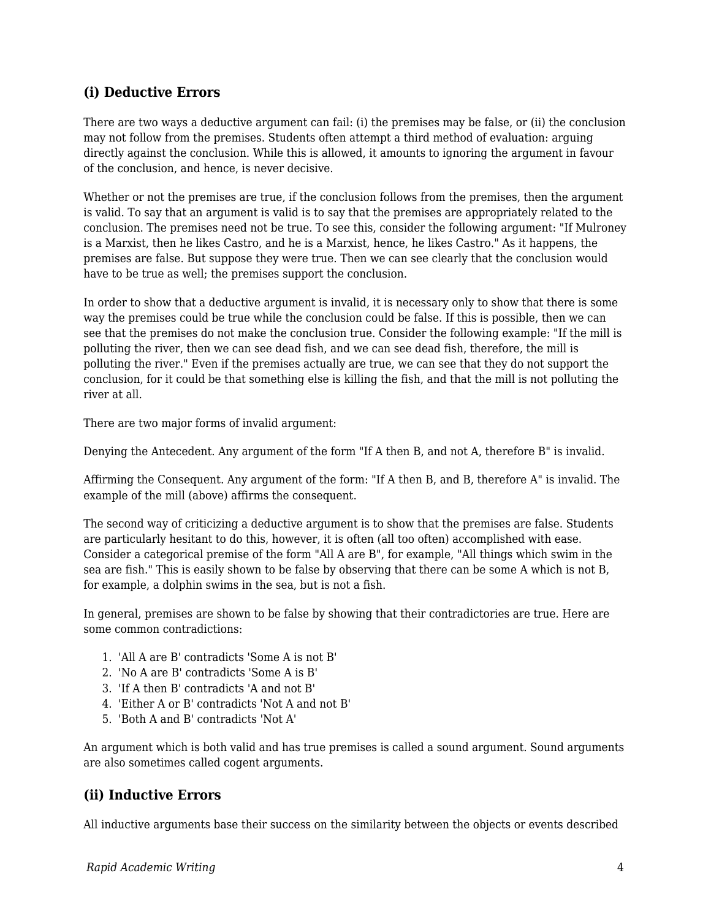#### **(i) Deductive Errors**

There are two ways a deductive argument can fail: (i) the premises may be false, or (ii) the conclusion may not follow from the premises. Students often attempt a third method of evaluation: arguing directly against the conclusion. While this is allowed, it amounts to ignoring the argument in favour of the conclusion, and hence, is never decisive.

Whether or not the premises are true, if the conclusion follows from the premises, then the argument is valid. To say that an argument is valid is to say that the premises are appropriately related to the conclusion. The premises need not be true. To see this, consider the following argument: "If Mulroney is a Marxist, then he likes Castro, and he is a Marxist, hence, he likes Castro." As it happens, the premises are false. But suppose they were true. Then we can see clearly that the conclusion would have to be true as well; the premises support the conclusion.

In order to show that a deductive argument is invalid, it is necessary only to show that there is some way the premises could be true while the conclusion could be false. If this is possible, then we can see that the premises do not make the conclusion true. Consider the following example: "If the mill is polluting the river, then we can see dead fish, and we can see dead fish, therefore, the mill is polluting the river." Even if the premises actually are true, we can see that they do not support the conclusion, for it could be that something else is killing the fish, and that the mill is not polluting the river at all.

There are two major forms of invalid argument:

Denying the Antecedent. Any argument of the form "If A then B, and not A, therefore B" is invalid.

Affirming the Consequent. Any argument of the form: "If A then B, and B, therefore A" is invalid. The example of the mill (above) affirms the consequent.

The second way of criticizing a deductive argument is to show that the premises are false. Students are particularly hesitant to do this, however, it is often (all too often) accomplished with ease. Consider a categorical premise of the form "All A are B", for example, "All things which swim in the sea are fish." This is easily shown to be false by observing that there can be some A which is not B, for example, a dolphin swims in the sea, but is not a fish.

In general, premises are shown to be false by showing that their contradictories are true. Here are some common contradictions:

- 1. 'All A are B' contradicts 'Some A is not B'
- 2. 'No A are B' contradicts 'Some A is B'
- 3. 'If A then B' contradicts 'A and not B'
- 4. 'Either A or B' contradicts 'Not A and not B'
- 5. 'Both A and B' contradicts 'Not A'

An argument which is both valid and has true premises is called a sound argument. Sound arguments are also sometimes called cogent arguments.

#### **(ii) Inductive Errors**

All inductive arguments base their success on the similarity between the objects or events described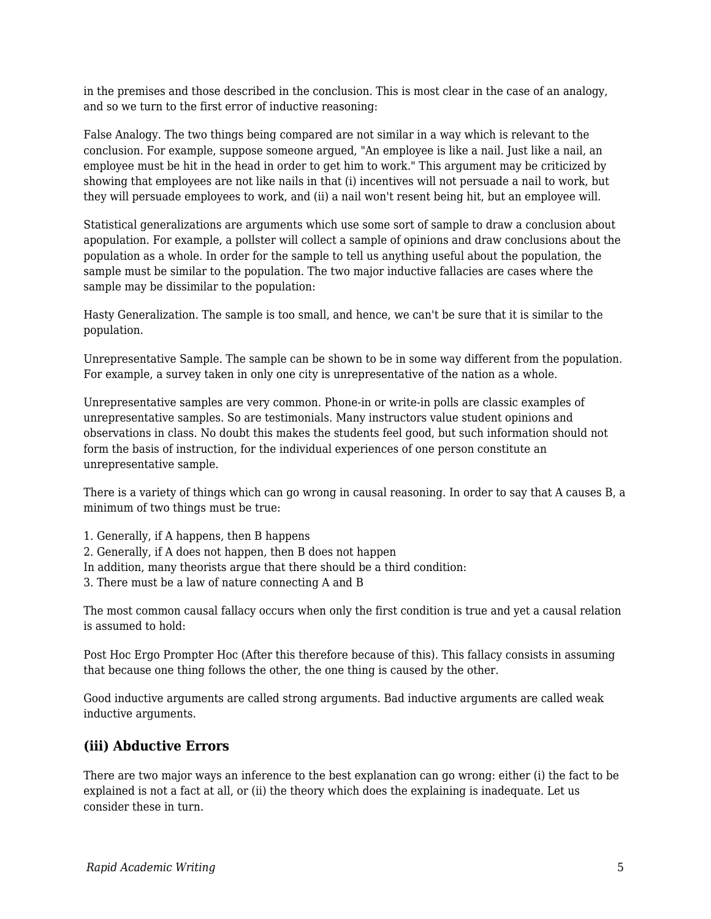in the premises and those described in the conclusion. This is most clear in the case of an analogy, and so we turn to the first error of inductive reasoning:

False Analogy. The two things being compared are not similar in a way which is relevant to the conclusion. For example, suppose someone argued, "An employee is like a nail. Just like a nail, an employee must be hit in the head in order to get him to work." This argument may be criticized by showing that employees are not like nails in that (i) incentives will not persuade a nail to work, but they will persuade employees to work, and (ii) a nail won't resent being hit, but an employee will.

Statistical generalizations are arguments which use some sort of sample to draw a conclusion about apopulation. For example, a pollster will collect a sample of opinions and draw conclusions about the population as a whole. In order for the sample to tell us anything useful about the population, the sample must be similar to the population. The two major inductive fallacies are cases where the sample may be dissimilar to the population:

Hasty Generalization. The sample is too small, and hence, we can't be sure that it is similar to the population.

Unrepresentative Sample. The sample can be shown to be in some way different from the population. For example, a survey taken in only one city is unrepresentative of the nation as a whole.

Unrepresentative samples are very common. Phone-in or write-in polls are classic examples of unrepresentative samples. So are testimonials. Many instructors value student opinions and observations in class. No doubt this makes the students feel good, but such information should not form the basis of instruction, for the individual experiences of one person constitute an unrepresentative sample.

There is a variety of things which can go wrong in causal reasoning. In order to say that A causes B, a minimum of two things must be true:

- 1. Generally, if A happens, then B happens
- 2. Generally, if A does not happen, then B does not happen
- In addition, many theorists argue that there should be a third condition:
- 3. There must be a law of nature connecting A and B

The most common causal fallacy occurs when only the first condition is true and yet a causal relation is assumed to hold:

Post Hoc Ergo Prompter Hoc (After this therefore because of this). This fallacy consists in assuming that because one thing follows the other, the one thing is caused by the other.

Good inductive arguments are called strong arguments. Bad inductive arguments are called weak inductive arguments.

#### **(iii) Abductive Errors**

There are two major ways an inference to the best explanation can go wrong: either (i) the fact to be explained is not a fact at all, or (ii) the theory which does the explaining is inadequate. Let us consider these in turn.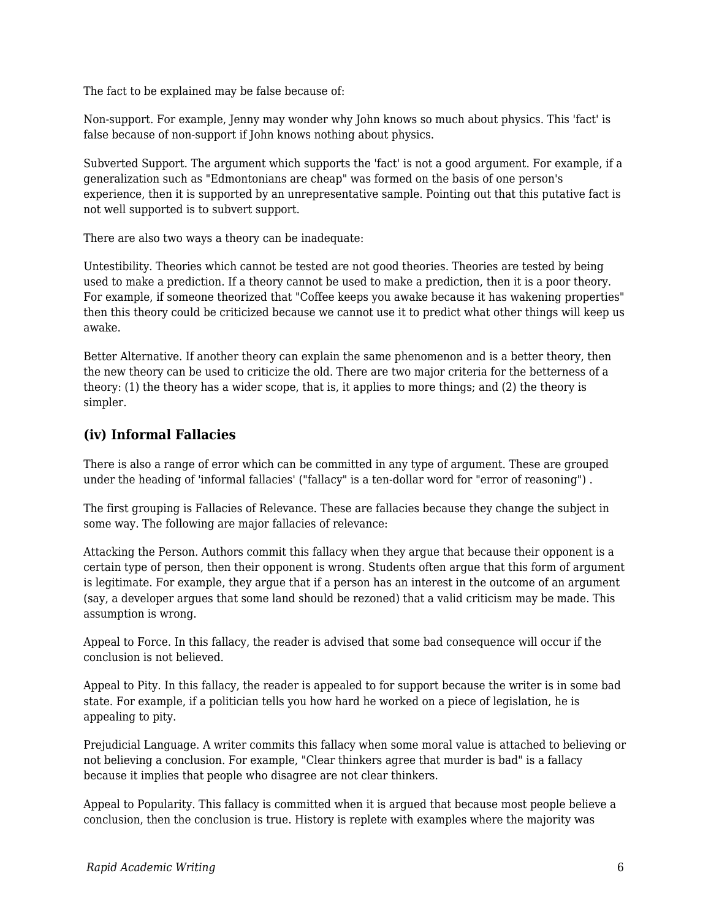The fact to be explained may be false because of:

Non-support. For example, Jenny may wonder why John knows so much about physics. This 'fact' is false because of non-support if John knows nothing about physics.

Subverted Support. The argument which supports the 'fact' is not a good argument. For example, if a generalization such as "Edmontonians are cheap" was formed on the basis of one person's experience, then it is supported by an unrepresentative sample. Pointing out that this putative fact is not well supported is to subvert support.

There are also two ways a theory can be inadequate:

Untestibility. Theories which cannot be tested are not good theories. Theories are tested by being used to make a prediction. If a theory cannot be used to make a prediction, then it is a poor theory. For example, if someone theorized that "Coffee keeps you awake because it has wakening properties" then this theory could be criticized because we cannot use it to predict what other things will keep us awake.

Better Alternative. If another theory can explain the same phenomenon and is a better theory, then the new theory can be used to criticize the old. There are two major criteria for the betterness of a theory: (1) the theory has a wider scope, that is, it applies to more things; and (2) the theory is simpler.

#### **(iv) Informal Fallacies**

There is also a range of error which can be committed in any type of argument. These are grouped under the heading of 'informal fallacies' ("fallacy" is a ten-dollar word for "error of reasoning") .

The first grouping is Fallacies of Relevance. These are fallacies because they change the subject in some way. The following are major fallacies of relevance:

Attacking the Person. Authors commit this fallacy when they argue that because their opponent is a certain type of person, then their opponent is wrong. Students often argue that this form of argument is legitimate. For example, they argue that if a person has an interest in the outcome of an argument (say, a developer argues that some land should be rezoned) that a valid criticism may be made. This assumption is wrong.

Appeal to Force. In this fallacy, the reader is advised that some bad consequence will occur if the conclusion is not believed.

Appeal to Pity. In this fallacy, the reader is appealed to for support because the writer is in some bad state. For example, if a politician tells you how hard he worked on a piece of legislation, he is appealing to pity.

Prejudicial Language. A writer commits this fallacy when some moral value is attached to believing or not believing a conclusion. For example, "Clear thinkers agree that murder is bad" is a fallacy because it implies that people who disagree are not clear thinkers.

Appeal to Popularity. This fallacy is committed when it is argued that because most people believe a conclusion, then the conclusion is true. History is replete with examples where the majority was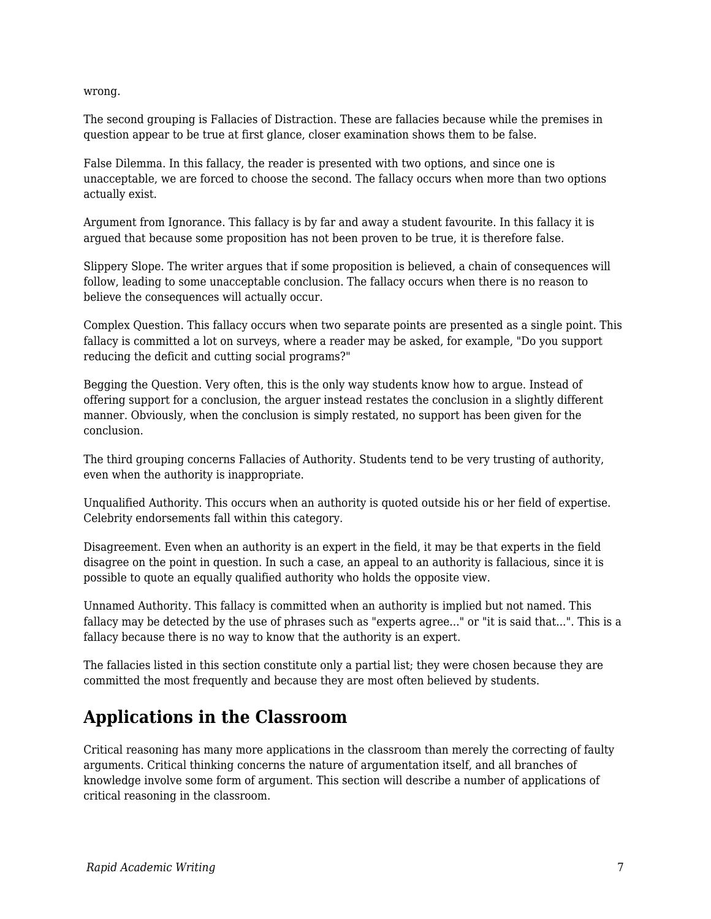wrong.

The second grouping is Fallacies of Distraction. These are fallacies because while the premises in question appear to be true at first glance, closer examination shows them to be false.

False Dilemma. In this fallacy, the reader is presented with two options, and since one is unacceptable, we are forced to choose the second. The fallacy occurs when more than two options actually exist.

Argument from Ignorance. This fallacy is by far and away a student favourite. In this fallacy it is argued that because some proposition has not been proven to be true, it is therefore false.

Slippery Slope. The writer argues that if some proposition is believed, a chain of consequences will follow, leading to some unacceptable conclusion. The fallacy occurs when there is no reason to believe the consequences will actually occur.

Complex Question. This fallacy occurs when two separate points are presented as a single point. This fallacy is committed a lot on surveys, where a reader may be asked, for example, "Do you support reducing the deficit and cutting social programs?"

Begging the Question. Very often, this is the only way students know how to argue. Instead of offering support for a conclusion, the arguer instead restates the conclusion in a slightly different manner. Obviously, when the conclusion is simply restated, no support has been given for the conclusion.

The third grouping concerns Fallacies of Authority. Students tend to be very trusting of authority, even when the authority is inappropriate.

Unqualified Authority. This occurs when an authority is quoted outside his or her field of expertise. Celebrity endorsements fall within this category.

Disagreement. Even when an authority is an expert in the field, it may be that experts in the field disagree on the point in question. In such a case, an appeal to an authority is fallacious, since it is possible to quote an equally qualified authority who holds the opposite view.

Unnamed Authority. This fallacy is committed when an authority is implied but not named. This fallacy may be detected by the use of phrases such as "experts agree..." or "it is said that...". This is a fallacy because there is no way to know that the authority is an expert.

The fallacies listed in this section constitute only a partial list; they were chosen because they are committed the most frequently and because they are most often believed by students.

### **Applications in the Classroom**

Critical reasoning has many more applications in the classroom than merely the correcting of faulty arguments. Critical thinking concerns the nature of argumentation itself, and all branches of knowledge involve some form of argument. This section will describe a number of applications of critical reasoning in the classroom.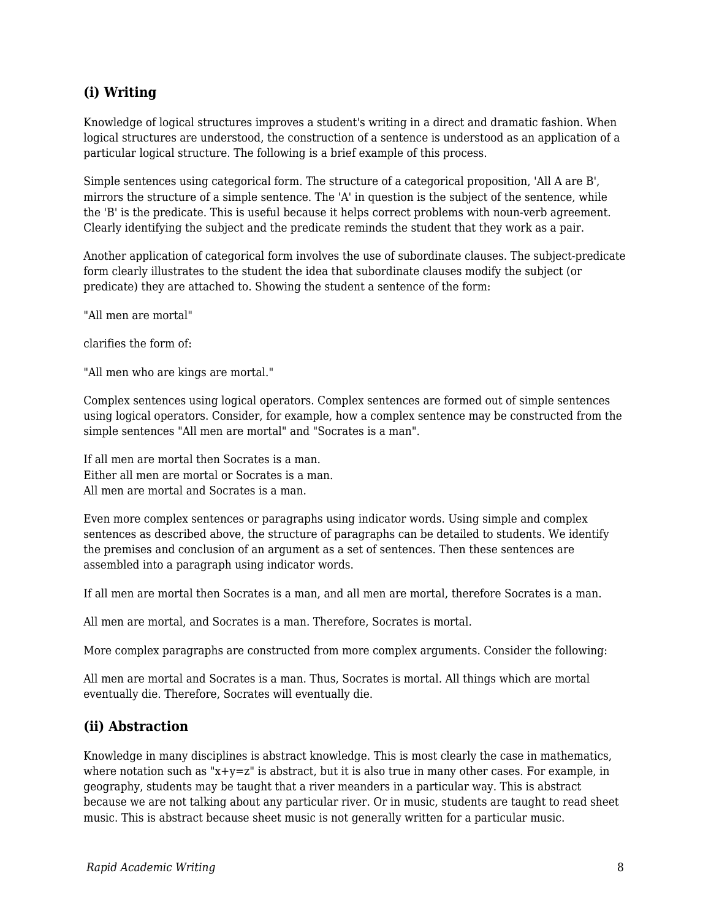#### **(i) Writing**

Knowledge of logical structures improves a student's writing in a direct and dramatic fashion. When logical structures are understood, the construction of a sentence is understood as an application of a particular logical structure. The following is a brief example of this process.

Simple sentences using categorical form. The structure of a categorical proposition, 'All A are B', mirrors the structure of a simple sentence. The 'A' in question is the subject of the sentence, while the 'B' is the predicate. This is useful because it helps correct problems with noun-verb agreement. Clearly identifying the subject and the predicate reminds the student that they work as a pair.

Another application of categorical form involves the use of subordinate clauses. The subject-predicate form clearly illustrates to the student the idea that subordinate clauses modify the subject (or predicate) they are attached to. Showing the student a sentence of the form:

"All men are mortal"

clarifies the form of:

"All men who are kings are mortal."

Complex sentences using logical operators. Complex sentences are formed out of simple sentences using logical operators. Consider, for example, how a complex sentence may be constructed from the simple sentences "All men are mortal" and "Socrates is a man".

If all men are mortal then Socrates is a man. Either all men are mortal or Socrates is a man. All men are mortal and Socrates is a man.

Even more complex sentences or paragraphs using indicator words. Using simple and complex sentences as described above, the structure of paragraphs can be detailed to students. We identify the premises and conclusion of an argument as a set of sentences. Then these sentences are assembled into a paragraph using indicator words.

If all men are mortal then Socrates is a man, and all men are mortal, therefore Socrates is a man.

All men are mortal, and Socrates is a man. Therefore, Socrates is mortal.

More complex paragraphs are constructed from more complex arguments. Consider the following:

All men are mortal and Socrates is a man. Thus, Socrates is mortal. All things which are mortal eventually die. Therefore, Socrates will eventually die.

#### **(ii) Abstraction**

Knowledge in many disciplines is abstract knowledge. This is most clearly the case in mathematics, where notation such as " $x+y=z$ " is abstract, but it is also true in many other cases. For example, in geography, students may be taught that a river meanders in a particular way. This is abstract because we are not talking about any particular river. Or in music, students are taught to read sheet music. This is abstract because sheet music is not generally written for a particular music.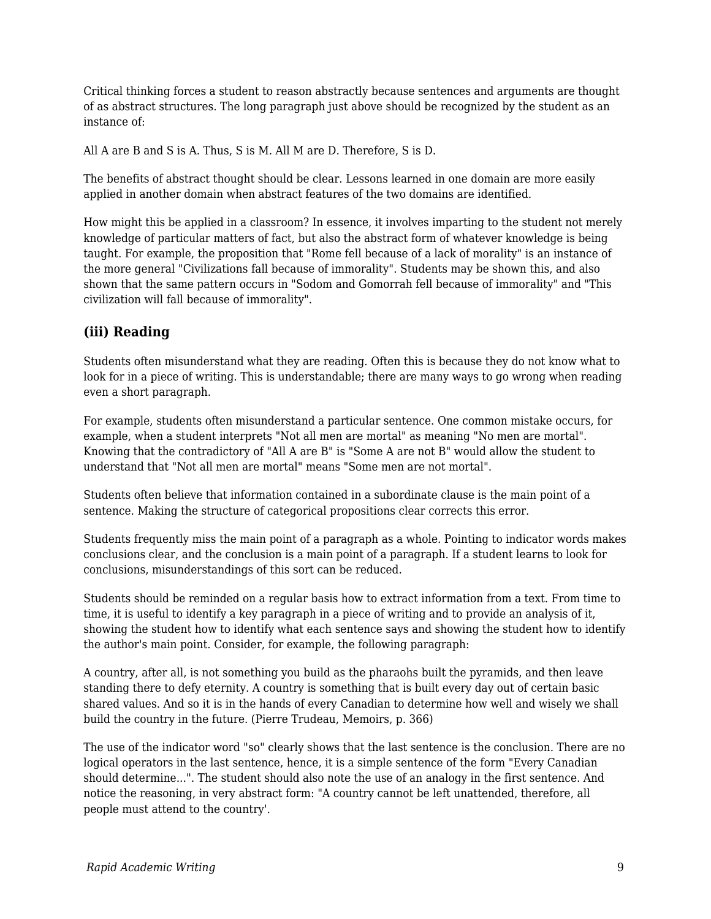Critical thinking forces a student to reason abstractly because sentences and arguments are thought of as abstract structures. The long paragraph just above should be recognized by the student as an instance of:

All A are B and S is A. Thus, S is M. All M are D. Therefore, S is D.

The benefits of abstract thought should be clear. Lessons learned in one domain are more easily applied in another domain when abstract features of the two domains are identified.

How might this be applied in a classroom? In essence, it involves imparting to the student not merely knowledge of particular matters of fact, but also the abstract form of whatever knowledge is being taught. For example, the proposition that "Rome fell because of a lack of morality" is an instance of the more general "Civilizations fall because of immorality". Students may be shown this, and also shown that the same pattern occurs in "Sodom and Gomorrah fell because of immorality" and "This civilization will fall because of immorality".

#### **(iii) Reading**

Students often misunderstand what they are reading. Often this is because they do not know what to look for in a piece of writing. This is understandable; there are many ways to go wrong when reading even a short paragraph.

For example, students often misunderstand a particular sentence. One common mistake occurs, for example, when a student interprets "Not all men are mortal" as meaning "No men are mortal". Knowing that the contradictory of "All A are B" is "Some A are not B" would allow the student to understand that "Not all men are mortal" means "Some men are not mortal".

Students often believe that information contained in a subordinate clause is the main point of a sentence. Making the structure of categorical propositions clear corrects this error.

Students frequently miss the main point of a paragraph as a whole. Pointing to indicator words makes conclusions clear, and the conclusion is a main point of a paragraph. If a student learns to look for conclusions, misunderstandings of this sort can be reduced.

Students should be reminded on a regular basis how to extract information from a text. From time to time, it is useful to identify a key paragraph in a piece of writing and to provide an analysis of it, showing the student how to identify what each sentence says and showing the student how to identify the author's main point. Consider, for example, the following paragraph:

A country, after all, is not something you build as the pharaohs built the pyramids, and then leave standing there to defy eternity. A country is something that is built every day out of certain basic shared values. And so it is in the hands of every Canadian to determine how well and wisely we shall build the country in the future. (Pierre Trudeau, Memoirs, p. 366)

The use of the indicator word "so" clearly shows that the last sentence is the conclusion. There are no logical operators in the last sentence, hence, it is a simple sentence of the form "Every Canadian should determine...". The student should also note the use of an analogy in the first sentence. And notice the reasoning, in very abstract form: "A country cannot be left unattended, therefore, all people must attend to the country'.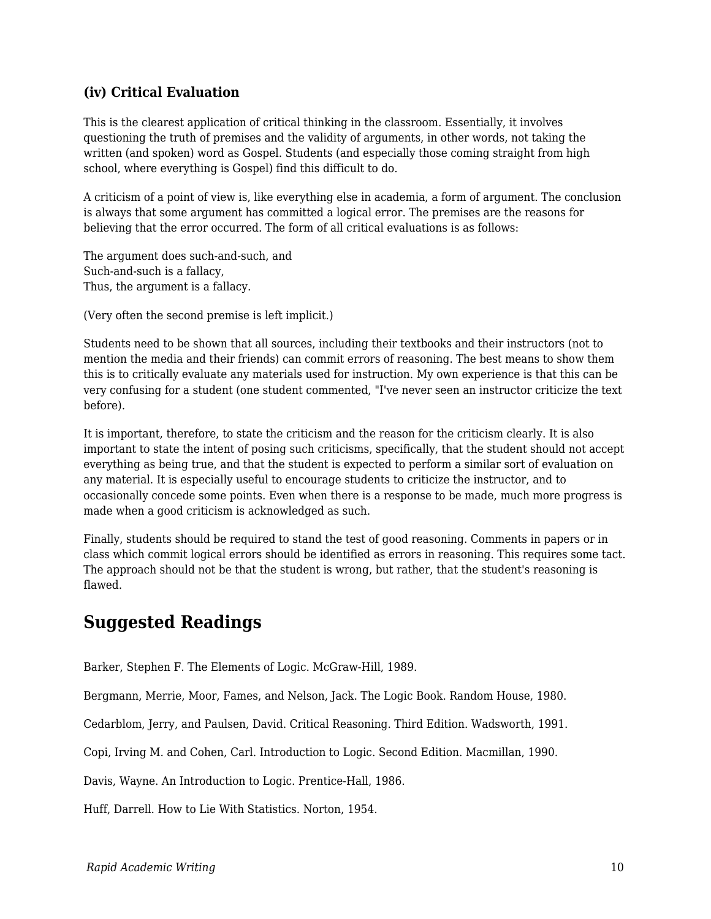#### **(iv) Critical Evaluation**

This is the clearest application of critical thinking in the classroom. Essentially, it involves questioning the truth of premises and the validity of arguments, in other words, not taking the written (and spoken) word as Gospel. Students (and especially those coming straight from high school, where everything is Gospel) find this difficult to do.

A criticism of a point of view is, like everything else in academia, a form of argument. The conclusion is always that some argument has committed a logical error. The premises are the reasons for believing that the error occurred. The form of all critical evaluations is as follows:

The argument does such-and-such, and Such-and-such is a fallacy, Thus, the argument is a fallacy.

(Very often the second premise is left implicit.)

Students need to be shown that all sources, including their textbooks and their instructors (not to mention the media and their friends) can commit errors of reasoning. The best means to show them this is to critically evaluate any materials used for instruction. My own experience is that this can be very confusing for a student (one student commented, "I've never seen an instructor criticize the text before).

It is important, therefore, to state the criticism and the reason for the criticism clearly. It is also important to state the intent of posing such criticisms, specifically, that the student should not accept everything as being true, and that the student is expected to perform a similar sort of evaluation on any material. It is especially useful to encourage students to criticize the instructor, and to occasionally concede some points. Even when there is a response to be made, much more progress is made when a good criticism is acknowledged as such.

Finally, students should be required to stand the test of good reasoning. Comments in papers or in class which commit logical errors should be identified as errors in reasoning. This requires some tact. The approach should not be that the student is wrong, but rather, that the student's reasoning is flawed.

### **Suggested Readings**

Barker, Stephen F. The Elements of Logic. McGraw-Hill, 1989.

Bergmann, Merrie, Moor, Fames, and Nelson, Jack. The Logic Book. Random House, 1980.

Cedarblom, Jerry, and Paulsen, David. Critical Reasoning. Third Edition. Wadsworth, 1991.

Copi, Irving M. and Cohen, Carl. Introduction to Logic. Second Edition. Macmillan, 1990.

Davis, Wayne. An Introduction to Logic. Prentice-Hall, 1986.

Huff, Darrell. How to Lie With Statistics. Norton, 1954.